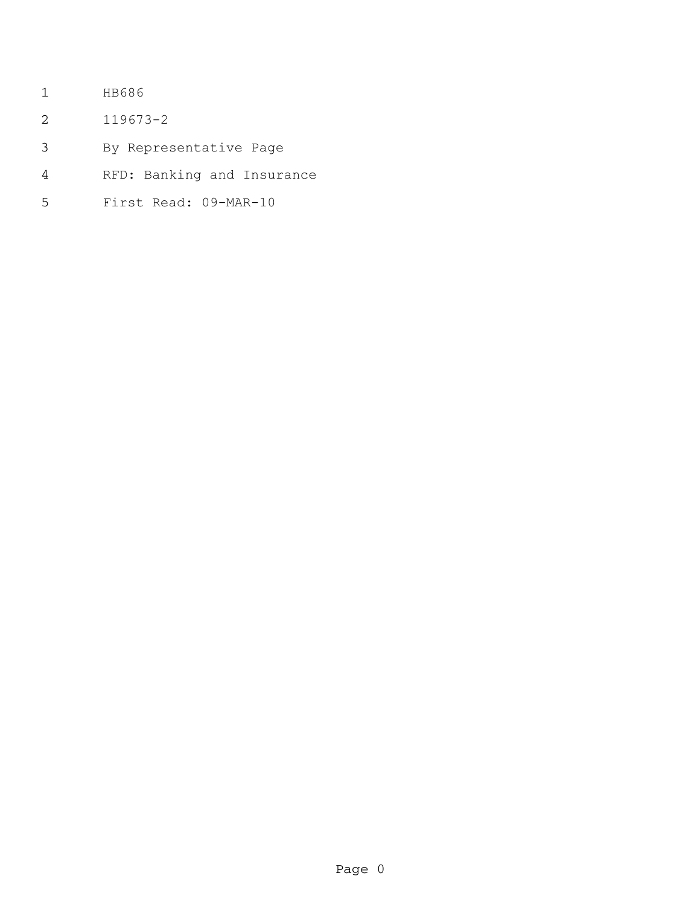- HB686
- 119673-2
- By Representative Page
- RFD: Banking and Insurance
- First Read: 09-MAR-10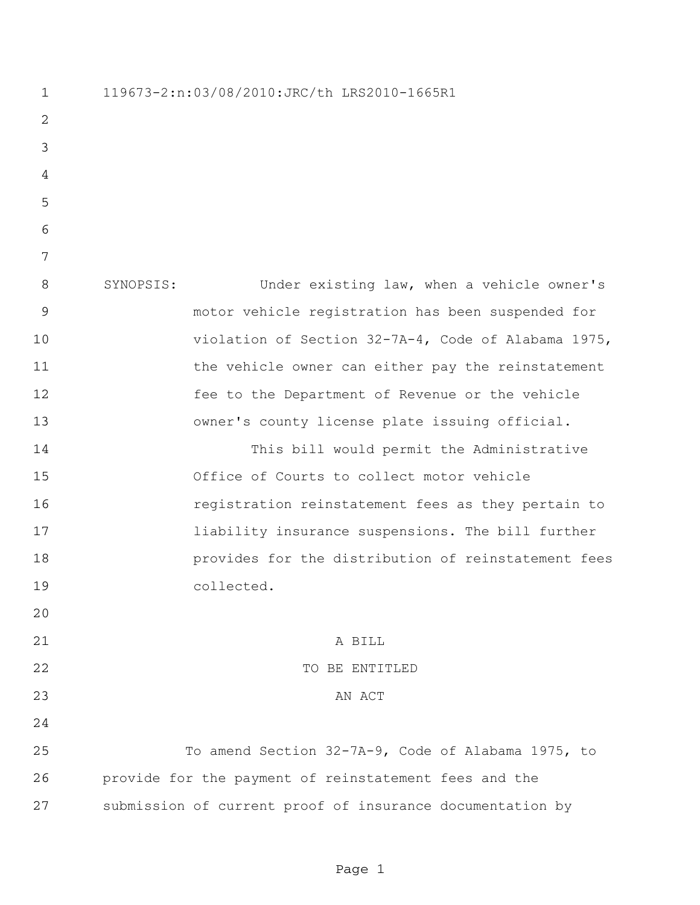119673-2:n:03/08/2010:JRC/th LRS2010-1665R1 SYNOPSIS: Under existing law, when a vehicle owner's motor vehicle registration has been suspended for violation of Section 32-7A-4, Code of Alabama 1975, 11 the vehicle owner can either pay the reinstatement fee to the Department of Revenue or the vehicle owner's county license plate issuing official. This bill would permit the Administrative Office of Courts to collect motor vehicle registration reinstatement fees as they pertain to liability insurance suspensions. The bill further provides for the distribution of reinstatement fees collected. A BILL 22 TO BE ENTITLED 23 AN ACT To amend Section 32-7A-9, Code of Alabama 1975, to provide for the payment of reinstatement fees and the submission of current proof of insurance documentation by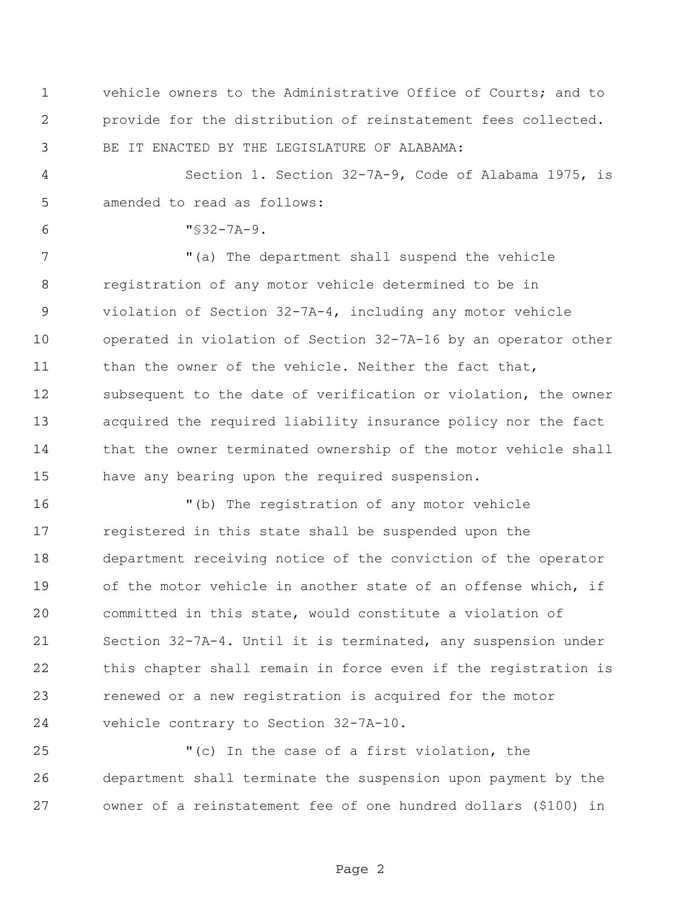vehicle owners to the Administrative Office of Courts; and to provide for the distribution of reinstatement fees collected. BE IT ENACTED BY THE LEGISLATURE OF ALABAMA:

 Section 1. Section 32-7A-9, Code of Alabama 1975, is amended to read as follows:

" $$32-7A-9.$ 

7 The department shall suspend the vehicle registration of any motor vehicle determined to be in violation of Section 32-7A-4, including any motor vehicle operated in violation of Section 32-7A-16 by an operator other 11 than the owner of the vehicle. Neither the fact that, subsequent to the date of verification or violation, the owner acquired the required liability insurance policy nor the fact 14 that the owner terminated ownership of the motor vehicle shall have any bearing upon the required suspension.

 "(b) The registration of any motor vehicle registered in this state shall be suspended upon the department receiving notice of the conviction of the operator of the motor vehicle in another state of an offense which, if committed in this state, would constitute a violation of Section 32-7A-4. Until it is terminated, any suspension under this chapter shall remain in force even if the registration is renewed or a new registration is acquired for the motor vehicle contrary to Section 32-7A-10.

 "(c) In the case of a first violation, the department shall terminate the suspension upon payment by the owner of a reinstatement fee of one hundred dollars (\$100) in

Page 2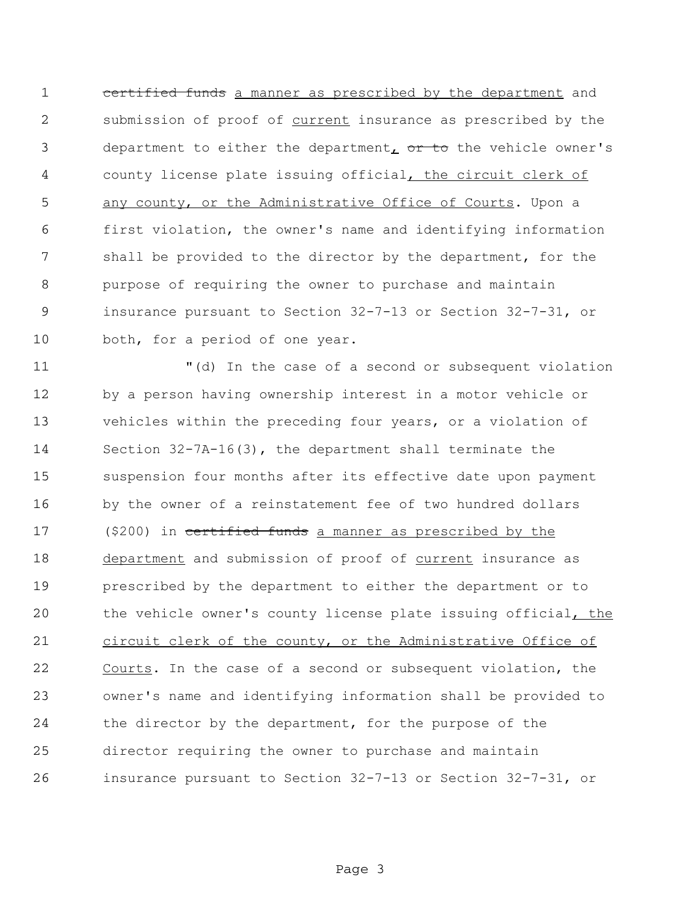1 certified funds a manner as prescribed by the department and submission of proof of current insurance as prescribed by the 3 department to either the department<sub>L</sub> or to the vehicle owner's 4 county license plate issuing official, the circuit clerk of any county, or the Administrative Office of Courts. Upon a first violation, the owner's name and identifying information shall be provided to the director by the department, for the purpose of requiring the owner to purchase and maintain insurance pursuant to Section 32-7-13 or Section 32-7-31, or both, for a period of one year.

 "(d) In the case of a second or subsequent violation by a person having ownership interest in a motor vehicle or vehicles within the preceding four years, or a violation of Section 32-7A-16(3), the department shall terminate the suspension four months after its effective date upon payment by the owner of a reinstatement fee of two hundred dollars 17 (\$200) in certified funds a manner as prescribed by the 18 department and submission of proof of current insurance as prescribed by the department to either the department or to 20 the vehicle owner's county license plate issuing official, the 21 circuit clerk of the county, or the Administrative Office of Courts. In the case of a second or subsequent violation, the owner's name and identifying information shall be provided to the director by the department, for the purpose of the director requiring the owner to purchase and maintain insurance pursuant to Section 32-7-13 or Section 32-7-31, or

Page 3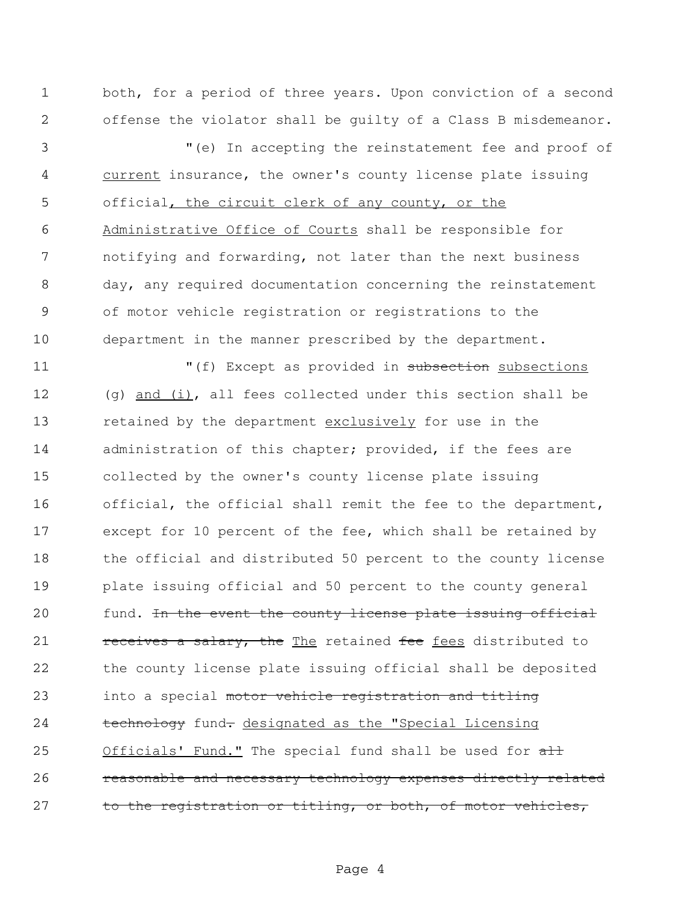both, for a period of three years. Upon conviction of a second offense the violator shall be guilty of a Class B misdemeanor.

 "(e) In accepting the reinstatement fee and proof of 4 current insurance, the owner's county license plate issuing official, the circuit clerk of any county, or the Administrative Office of Courts shall be responsible for notifying and forwarding, not later than the next business day, any required documentation concerning the reinstatement of motor vehicle registration or registrations to the department in the manner prescribed by the department.

11 The M<sub>I</sub> C<sub>1</sub> Except as provided in subsection subsections 12 (g) and (i), all fees collected under this section shall be retained by the department exclusively for use in the administration of this chapter; provided, if the fees are collected by the owner's county license plate issuing official, the official shall remit the fee to the department, except for 10 percent of the fee, which shall be retained by the official and distributed 50 percent to the county license plate issuing official and 50 percent to the county general 20 fund. In the event the county license plate issuing official 21 receives a salary, the The retained fee fees distributed to the county license plate issuing official shall be deposited 23 into a special motor vehicle registration and titling 24 technology fund. designated as the "Special Licensing 25 Officials' Fund." The special fund shall be used for all 26 reasonable and necessary technology expenses directly related 27 to the registration or titling, or both, of motor vehicles,

Page 4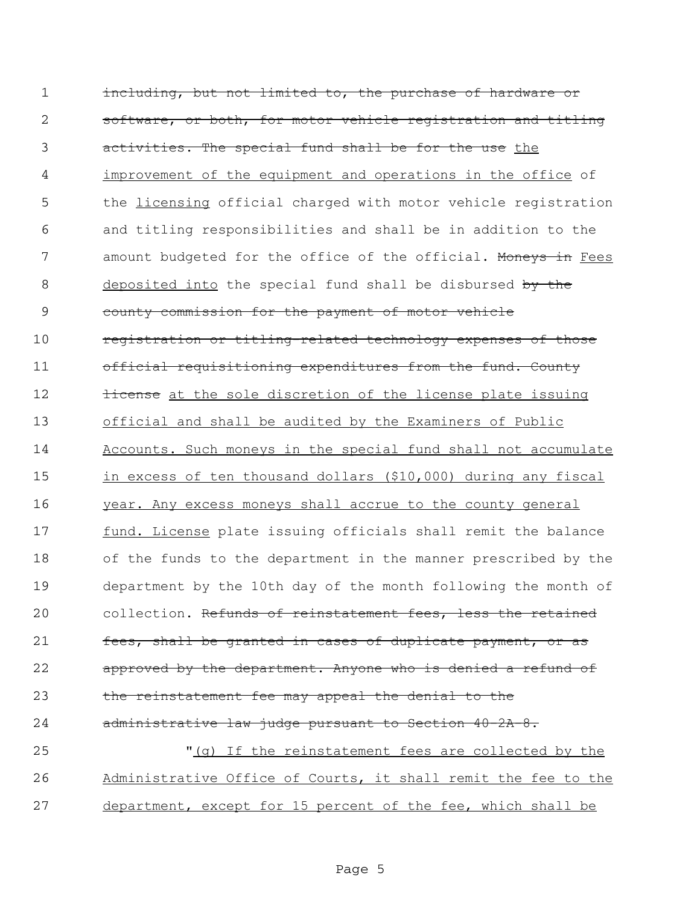including, but not limited to, the purchase of hardware or software, or both, for motor vehicle registration and titling activities. The special fund shall be for the use the improvement of the equipment and operations in the office of the licensing official charged with motor vehicle registration and titling responsibilities and shall be in addition to the 7 amount budgeted for the office of the official. Moneys in Fees 8 deposited into the special fund shall be disbursed by the county commission for the payment of motor vehicle 10 registration or titling-related technology expenses of those 11 official requisitioning expenditures from the fund. County **license** at the sole discretion of the license plate issuing official and shall be audited by the Examiners of Public Accounts. Such moneys in the special fund shall not accumulate in excess of ten thousand dollars (\$10,000) during any fiscal year. Any excess moneys shall accrue to the county general 17 fund. License plate issuing officials shall remit the balance of the funds to the department in the manner prescribed by the department by the 10th day of the month following the month of 20 collection. Refunds of reinstatement fees, less the retained **fees, shall be granted in cases of duplicate payment, or as** 22 approved by the department. Anyone who is denied a refund of 23 the reinstatement fee may appeal the denial to the administrative law judge pursuant to Section 40-2A-8. "(g) If the reinstatement fees are collected by the

26 Administrative Office of Courts, it shall remit the fee to the department, except for 15 percent of the fee, which shall be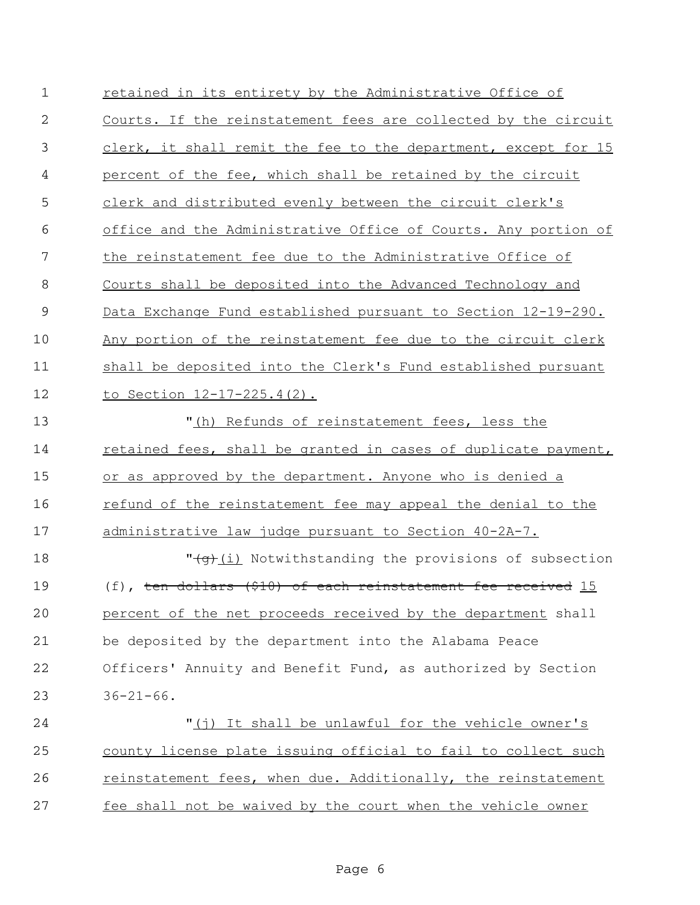retained in its entirety by the Administrative Office of Courts. If the reinstatement fees are collected by the circuit 3 clerk, it shall remit the fee to the department, except for 15 percent of the fee, which shall be retained by the circuit clerk and distributed evenly between the circuit clerk's office and the Administrative Office of Courts. Any portion of the reinstatement fee due to the Administrative Office of Courts shall be deposited into the Advanced Technology and Data Exchange Fund established pursuant to Section 12-19-290. 10 Any portion of the reinstatement fee due to the circuit clerk shall be deposited into the Clerk's Fund established pursuant to Section 12-17-225.4(2). "(h) Refunds of reinstatement fees, less the retained fees, shall be granted in cases of duplicate payment,

 or as approved by the department. Anyone who is denied a refund of the reinstatement fee may appeal the denial to the administrative law judge pursuant to Section 40-2A-7.

 $\frac{1}{(q)(i)}$  Notwithstanding the provisions of subsection 19 (f), ten dollars (\$10) of each reinstatement fee received 15 percent of the net proceeds received by the department shall be deposited by the department into the Alabama Peace Officers' Annuity and Benefit Fund, as authorized by Section 36-21-66.

 "(j) It shall be unlawful for the vehicle owner's 25 county license plate issuing official to fail to collect such reinstatement fees, when due. Additionally, the reinstatement fee shall not be waived by the court when the vehicle owner